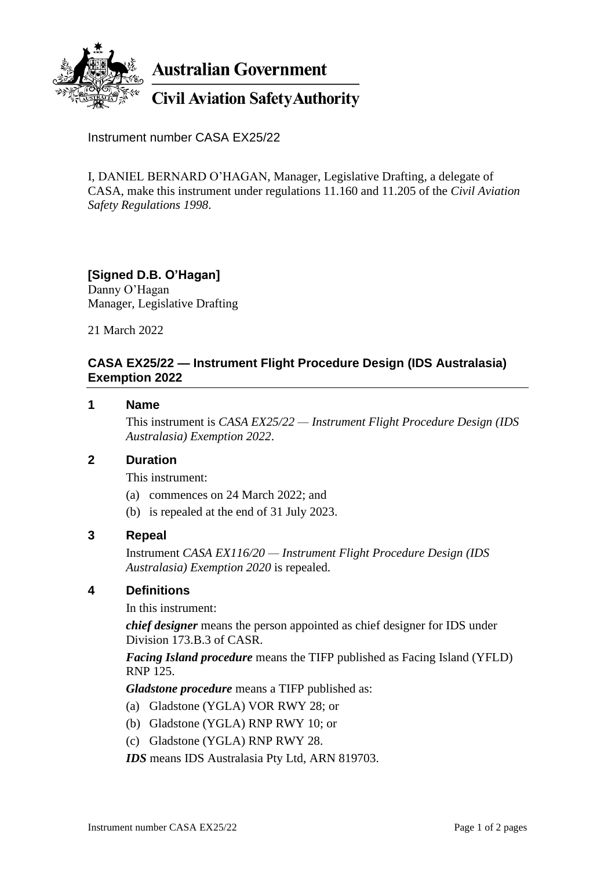

**Australian Government** 

# **Civil Aviation Safety Authority**

Instrument number CASA EX25/22

I, DANIEL BERNARD O'HAGAN, Manager, Legislative Drafting, a delegate of CASA, make this instrument under regulations 11.160 and 11.205 of the *Civil Aviation Safety Regulations 1998*.

### **[Signed D.B. O'Hagan]**

Danny O'Hagan Manager, Legislative Drafting

21 March 2022

### **CASA EX25/22 — Instrument Flight Procedure Design (IDS Australasia) Exemption 2022**

#### **1 Name**

This instrument is *CASA EX25/22 — Instrument Flight Procedure Design (IDS Australasia) Exemption 2022*.

### **2 Duration**

This instrument:

- (a) commences on 24 March 2022; and
- (b) is repealed at the end of 31 July 2023.

#### **3 Repeal**

Instrument *CASA EX116/20 — Instrument Flight Procedure Design (IDS Australasia) Exemption 2020* is repealed.

#### **4 Definitions**

In this instrument:

*chief designer* means the person appointed as chief designer for IDS under Division 173.B.3 of CASR.

*Facing Island procedure* means the TIFP published as Facing Island (YFLD) RNP 125.

*Gladstone procedure* means a TIFP published as:

- (a) Gladstone (YGLA) VOR RWY 28; or
- (b) Gladstone (YGLA) RNP RWY 10; or
- (c) Gladstone (YGLA) RNP RWY 28.
- *IDS* means IDS Australasia Pty Ltd, ARN 819703.